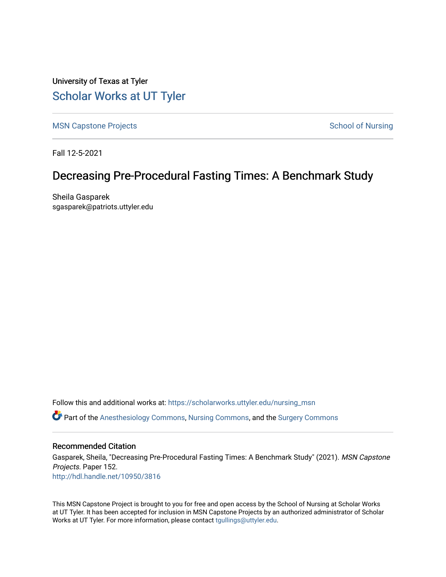University of Texas at Tyler [Scholar Works at UT Tyler](https://scholarworks.uttyler.edu/) 

[MSN Capstone Projects](https://scholarworks.uttyler.edu/nursing_msn) **School of Nursing** School of Nursing

Fall 12-5-2021

# Decreasing Pre-Procedural Fasting Times: A Benchmark Study

Sheila Gasparek sgasparek@patriots.uttyler.edu

Follow this and additional works at: [https://scholarworks.uttyler.edu/nursing\\_msn](https://scholarworks.uttyler.edu/nursing_msn?utm_source=scholarworks.uttyler.edu%2Fnursing_msn%2F152&utm_medium=PDF&utm_campaign=PDFCoverPages) Part of the [Anesthesiology Commons](http://network.bepress.com/hgg/discipline/682?utm_source=scholarworks.uttyler.edu%2Fnursing_msn%2F152&utm_medium=PDF&utm_campaign=PDFCoverPages), [Nursing Commons,](http://network.bepress.com/hgg/discipline/718?utm_source=scholarworks.uttyler.edu%2Fnursing_msn%2F152&utm_medium=PDF&utm_campaign=PDFCoverPages) and the [Surgery Commons](http://network.bepress.com/hgg/discipline/706?utm_source=scholarworks.uttyler.edu%2Fnursing_msn%2F152&utm_medium=PDF&utm_campaign=PDFCoverPages)

### Recommended Citation

Gasparek, Sheila, "Decreasing Pre-Procedural Fasting Times: A Benchmark Study" (2021). MSN Capstone Projects. Paper 152. [http://hdl.handle.net/10950/3816](http://hdl.handle.net/10950/3816?utm_source=scholarworks.uttyler.edu%2Fnursing_msn%2F152&utm_medium=PDF&utm_campaign=PDFCoverPages) 

This MSN Capstone Project is brought to you for free and open access by the School of Nursing at Scholar Works at UT Tyler. It has been accepted for inclusion in MSN Capstone Projects by an authorized administrator of Scholar Works at UT Tyler. For more information, please contact [tgullings@uttyler.edu](mailto:tgullings@uttyler.edu).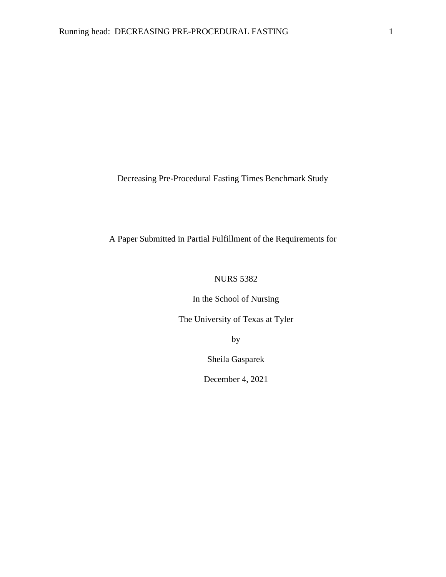Decreasing Pre-Procedural Fasting Times Benchmark Study

## A Paper Submitted in Partial Fulfillment of the Requirements for

## NURS 5382

In the School of Nursing

The University of Texas at Tyler

by

Sheila Gasparek

December 4, 2021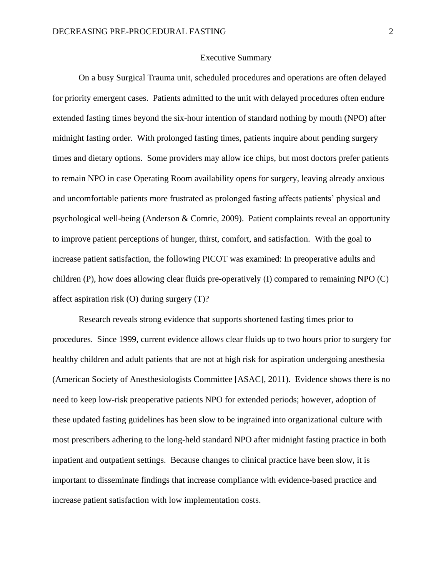### Executive Summary

On a busy Surgical Trauma unit, scheduled procedures and operations are often delayed for priority emergent cases. Patients admitted to the unit with delayed procedures often endure extended fasting times beyond the six-hour intention of standard nothing by mouth (NPO) after midnight fasting order. With prolonged fasting times, patients inquire about pending surgery times and dietary options. Some providers may allow ice chips, but most doctors prefer patients to remain NPO in case Operating Room availability opens for surgery, leaving already anxious and uncomfortable patients more frustrated as prolonged fasting affects patients' physical and psychological well-being (Anderson & Comrie, 2009). Patient complaints reveal an opportunity to improve patient perceptions of hunger, thirst, comfort, and satisfaction. With the goal to increase patient satisfaction, the following PICOT was examined: In preoperative adults and children (P), how does allowing clear fluids pre-operatively (I) compared to remaining NPO (C) affect aspiration risk (O) during surgery (T)?

Research reveals strong evidence that supports shortened fasting times prior to procedures. Since 1999, current evidence allows clear fluids up to two hours prior to surgery for healthy children and adult patients that are not at high risk for aspiration undergoing anesthesia (American Society of Anesthesiologists Committee [ASAC], 2011). Evidence shows there is no need to keep low-risk preoperative patients NPO for extended periods; however, adoption of these updated fasting guidelines has been slow to be ingrained into organizational culture with most prescribers adhering to the long-held standard NPO after midnight fasting practice in both inpatient and outpatient settings. Because changes to clinical practice have been slow, it is important to disseminate findings that increase compliance with evidence-based practice and increase patient satisfaction with low implementation costs.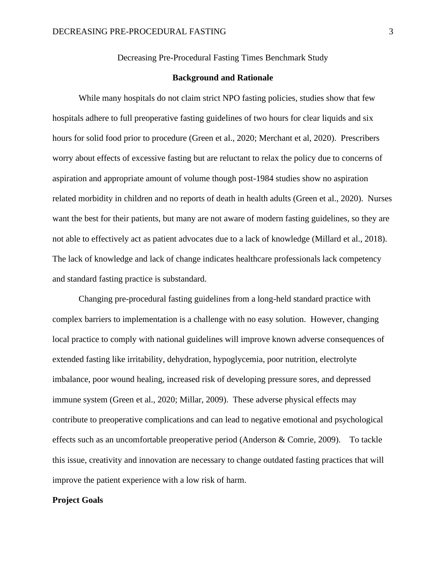Decreasing Pre-Procedural Fasting Times Benchmark Study

### **Background and Rationale**

While many hospitals do not claim strict NPO fasting policies, studies show that few hospitals adhere to full preoperative fasting guidelines of two hours for clear liquids and six hours for solid food prior to procedure (Green et al., 2020; Merchant et al, 2020). Prescribers worry about effects of excessive fasting but are reluctant to relax the policy due to concerns of aspiration and appropriate amount of volume though post-1984 studies show no aspiration related morbidity in children and no reports of death in health adults (Green et al., 2020). Nurses want the best for their patients, but many are not aware of modern fasting guidelines, so they are not able to effectively act as patient advocates due to a lack of knowledge (Millard et al., 2018). The lack of knowledge and lack of change indicates healthcare professionals lack competency and standard fasting practice is substandard.

Changing pre-procedural fasting guidelines from a long-held standard practice with complex barriers to implementation is a challenge with no easy solution. However, changing local practice to comply with national guidelines will improve known adverse consequences of extended fasting like irritability, dehydration, hypoglycemia, poor nutrition, electrolyte imbalance, poor wound healing, increased risk of developing pressure sores, and depressed immune system (Green et al., 2020; Millar, 2009). These adverse physical effects may contribute to preoperative complications and can lead to negative emotional and psychological effects such as an uncomfortable preoperative period (Anderson & Comrie, 2009). To tackle this issue, creativity and innovation are necessary to change outdated fasting practices that will improve the patient experience with a low risk of harm.

#### **Project Goals**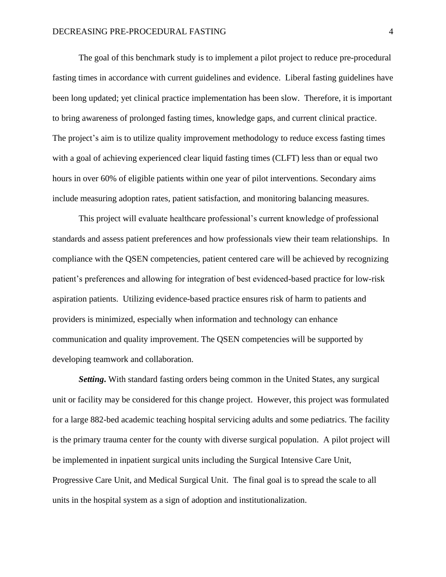The goal of this benchmark study is to implement a pilot project to reduce pre-procedural fasting times in accordance with current guidelines and evidence. Liberal fasting guidelines have been long updated; yet clinical practice implementation has been slow. Therefore, it is important to bring awareness of prolonged fasting times, knowledge gaps, and current clinical practice. The project's aim is to utilize quality improvement methodology to reduce excess fasting times with a goal of achieving experienced clear liquid fasting times (CLFT) less than or equal two hours in over 60% of eligible patients within one year of pilot interventions. Secondary aims include measuring adoption rates, patient satisfaction, and monitoring balancing measures.

This project will evaluate healthcare professional's current knowledge of professional standards and assess patient preferences and how professionals view their team relationships. In compliance with the QSEN competencies, patient centered care will be achieved by recognizing patient's preferences and allowing for integration of best evidenced-based practice for low-risk aspiration patients. Utilizing evidence-based practice ensures risk of harm to patients and providers is minimized, especially when information and technology can enhance communication and quality improvement. The QSEN competencies will be supported by developing teamwork and collaboration.

**Setting.** With standard fasting orders being common in the United States, any surgical unit or facility may be considered for this change project. However, this project was formulated for a large 882-bed academic teaching hospital servicing adults and some pediatrics. The facility is the primary trauma center for the county with diverse surgical population. A pilot project will be implemented in inpatient surgical units including the Surgical Intensive Care Unit, Progressive Care Unit, and Medical Surgical Unit. The final goal is to spread the scale to all units in the hospital system as a sign of adoption and institutionalization.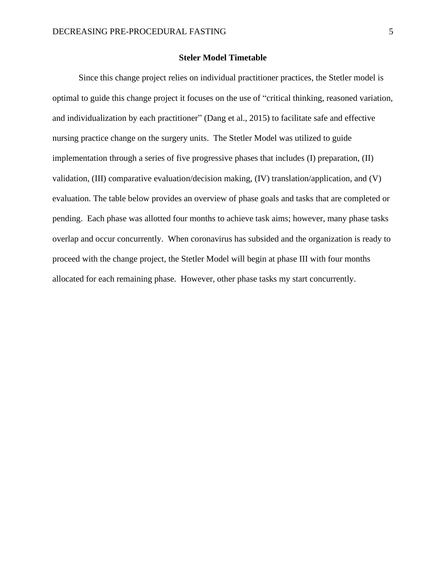### **Steler Model Timetable**

Since this change project relies on individual practitioner practices, the Stetler model is optimal to guide this change project it focuses on the use of "critical thinking, reasoned variation, and individualization by each practitioner" (Dang et al., 2015) to facilitate safe and effective nursing practice change on the surgery units. The Stetler Model was utilized to guide implementation through a series of five progressive phases that includes (I) preparation, (II) validation, (III) comparative evaluation/decision making, (IV) translation/application, and (V) evaluation. The table below provides an overview of phase goals and tasks that are completed or pending. Each phase was allotted four months to achieve task aims; however, many phase tasks overlap and occur concurrently. When coronavirus has subsided and the organization is ready to proceed with the change project, the Stetler Model will begin at phase III with four months allocated for each remaining phase. However, other phase tasks my start concurrently.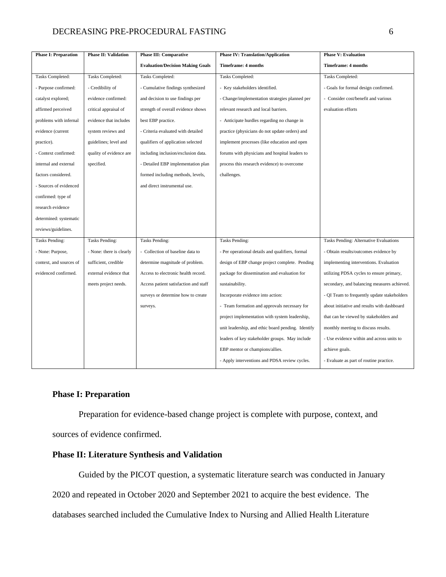### DECREASING PRE-PROCEDURAL FASTING 6

| <b>Phase I: Preparation</b> | <b>Phase II: Validation</b> | <b>Phase III: Comparative</b>           | <b>Phase IV: Translation/Application</b>           | <b>Phase V: Evaluation</b>                  |
|-----------------------------|-----------------------------|-----------------------------------------|----------------------------------------------------|---------------------------------------------|
|                             |                             | <b>Evaluation/Decision Making Goals</b> | Timeframe: 4 months                                | <b>Timeframe: 4 months</b>                  |
| Tasks Completed:            | Tasks Completed:            | Tasks Completed:                        | Tasks Completed:                                   | Tasks Completed:                            |
| - Purpose confirmed:        | - Credibility of            | - Cumulative findings synthesized       | - Key stakeholders identified.                     | - Goals for formal design confirmed.        |
| catalyst explored;          | evidence confirmed:         | and decision to use findings per        | - Change/implementation strategies planned per     | - Consider cost/benefit and various         |
| affirmed perceived          | critical appraisal of       | strength of overall evidence shows      | relevant research and local barriers.              | evaluation efforts                          |
| problems with infernal      | evidence that includes      | best EBP practice.                      | - Anticipate hurdles regarding no change in        |                                             |
| evidence (current           | system reviews and          | - Criteria evaluated with detailed      | practice (physicians do not update orders) and     |                                             |
| practice).                  | guidelines; level and       | qualifiers of application selected      | implement processes (like education and open       |                                             |
| - Context confirmed:        | quality of evidence are     | including inclusion/exclusion data.     | forums with physicians and hospital leaders to     |                                             |
| internal and external       | specified.                  | - Detailed EBP implementation plan      | process this research evidence) to overcome        |                                             |
| factors considered.         |                             | formed including methods, levels,       | challenges.                                        |                                             |
| - Sources of evidenced      |                             | and direct instrumental use.            |                                                    |                                             |
| confirmed: type of          |                             |                                         |                                                    |                                             |
| research evidence           |                             |                                         |                                                    |                                             |
| determined: systematic      |                             |                                         |                                                    |                                             |
| reviews/guidelines.         |                             |                                         |                                                    |                                             |
| Tasks Pending:              | <b>Tasks Pending:</b>       | <b>Tasks Pending:</b>                   | Tasks Pending:                                     | Tasks Pending: Alternative Evaluations      |
| - None: Purpose,            | - None: there is clearly    | - Collection of baseline data to        | - Per operational details and qualifiers, formal   | - Obtain results/outcomes evidence by       |
| context, and sources of     | sufficient, credible        | determine magnitude of problem.         | design of EBP change project complete. Pending     | implementing interventions. Evaluation      |
| evidenced confirmed.        | external evidence that      | Access to electronic health record.     | package for dissemination and evaluation for       | utilizing PDSA cycles to ensure primary,    |
|                             | meets project needs.        | Access patient satisfaction and staff   | sustainability.                                    | secondary, and balancing measures achieved. |
|                             |                             | surveys or determine how to create      | Incorporate evidence into action:                  | - QI Team to frequently update stakeholders |
|                             |                             | surveys.                                | - Team formation and approvals necessary for       | about initiative and results with dashboard |
|                             |                             |                                         | project implementation with system leadership,     | that can be viewed by stakeholders and      |
|                             |                             |                                         | unit leadership, and ethic board pending. Identify | monthly meeting to discuss results.         |
|                             |                             |                                         | leaders of key stakeholder groups. May include     | - Use evidence within and across units to   |
|                             |                             |                                         | EBP mentor or champions/allies.                    | achieve goals.                              |
|                             |                             |                                         | - Apply interventions and PDSA review cycles.      | - Evaluate as part of routine practice.     |

### **Phase I: Preparation**

Preparation for evidence-based change project is complete with purpose, context, and sources of evidence confirmed.

### **Phase II: Literature Synthesis and Validation**

Guided by the PICOT question, a systematic literature search was conducted in January 2020 and repeated in October 2020 and September 2021 to acquire the best evidence. The databases searched included the Cumulative Index to Nursing and Allied Health Literature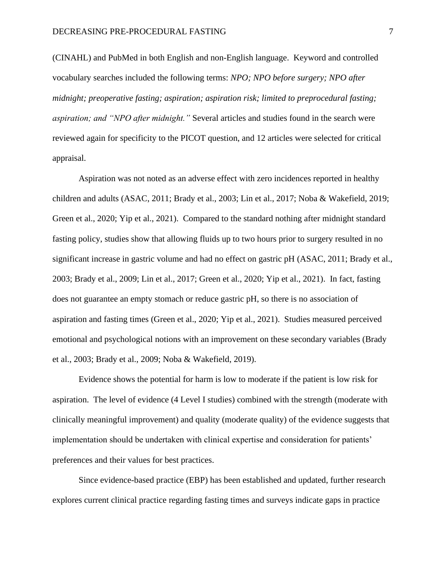(CINAHL) and PubMed in both English and non-English language. Keyword and controlled vocabulary searches included the following terms: *NPO; NPO before surgery; NPO after midnight; preoperative fasting; aspiration; aspiration risk; limited to preprocedural fasting; aspiration; and "NPO after midnight."* Several articles and studies found in the search were reviewed again for specificity to the PICOT question, and 12 articles were selected for critical appraisal.

Aspiration was not noted as an adverse effect with zero incidences reported in healthy children and adults (ASAC, 2011; Brady et al., 2003; Lin et al., 2017; Noba & Wakefield, 2019; Green et al., 2020; Yip et al., 2021). Compared to the standard nothing after midnight standard fasting policy, studies show that allowing fluids up to two hours prior to surgery resulted in no significant increase in gastric volume and had no effect on gastric pH (ASAC, 2011; Brady et al., 2003; Brady et al., 2009; Lin et al., 2017; Green et al., 2020; Yip et al., 2021). In fact, fasting does not guarantee an empty stomach or reduce gastric pH, so there is no association of aspiration and fasting times (Green et al., 2020; Yip et al., 2021). Studies measured perceived emotional and psychological notions with an improvement on these secondary variables (Brady et al., 2003; Brady et al., 2009; Noba & Wakefield, 2019).

Evidence shows the potential for harm is low to moderate if the patient is low risk for aspiration.The level of evidence (4 Level I studies) combined with the strength (moderate with clinically meaningful improvement) and quality (moderate quality) of the evidence suggests that implementation should be undertaken with clinical expertise and consideration for patients' preferences and their values for best practices.

Since evidence-based practice (EBP) has been established and updated, further research explores current clinical practice regarding fasting times and surveys indicate gaps in practice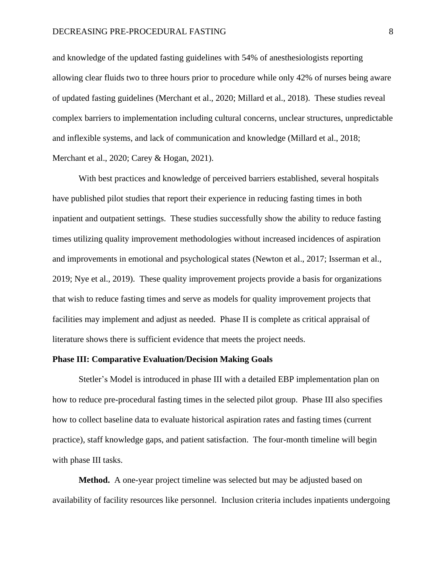### DECREASING PRE-PROCEDURAL FASTING 8

and knowledge of the updated fasting guidelines with 54% of anesthesiologists reporting allowing clear fluids two to three hours prior to procedure while only 42% of nurses being aware of updated fasting guidelines (Merchant et al., 2020; Millard et al., 2018). These studies reveal complex barriers to implementation including cultural concerns, unclear structures, unpredictable and inflexible systems, and lack of communication and knowledge (Millard et al., 2018; Merchant et al., 2020; Carey & Hogan, 2021).

With best practices and knowledge of perceived barriers established, several hospitals have published pilot studies that report their experience in reducing fasting times in both inpatient and outpatient settings. These studies successfully show the ability to reduce fasting times utilizing quality improvement methodologies without increased incidences of aspiration and improvements in emotional and psychological states (Newton et al., 2017; Isserman et al., 2019; Nye et al., 2019). These quality improvement projects provide a basis for organizations that wish to reduce fasting times and serve as models for quality improvement projects that facilities may implement and adjust as needed. Phase II is complete as critical appraisal of literature shows there is sufficient evidence that meets the project needs.

### **Phase III: Comparative Evaluation/Decision Making Goals**

Stetler's Model is introduced in phase III with a detailed EBP implementation plan on how to reduce pre-procedural fasting times in the selected pilot group. Phase III also specifies how to collect baseline data to evaluate historical aspiration rates and fasting times (current practice), staff knowledge gaps, and patient satisfaction. The four-month timeline will begin with phase III tasks.

**Method.** A one-year project timeline was selected but may be adjusted based on availability of facility resources like personnel. Inclusion criteria includes inpatients undergoing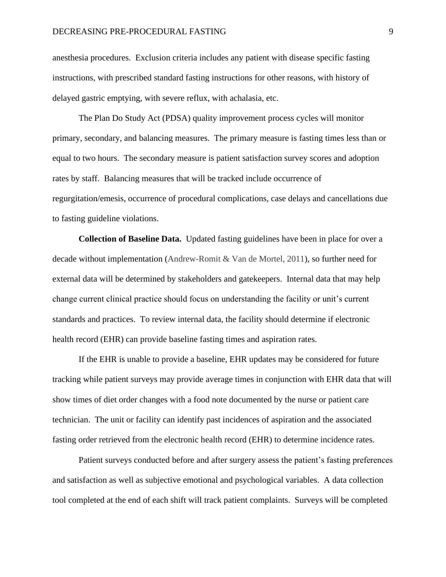anesthesia procedures. Exclusion criteria includes any patient with disease specific fasting instructions, with prescribed standard fasting instructions for other reasons, with history of delayed gastric emptying, with severe reflux, with achalasia, etc.

The Plan Do Study Act (PDSA) quality improvement process cycles will monitor primary, secondary, and balancing measures. The primary measure is fasting times less than or equal to two hours. The secondary measure is patient satisfaction survey scores and adoption rates by staff. Balancing measures that will be tracked include occurrence of regurgitation/emesis, occurrence of procedural complications, case delays and cancellations due to fasting guideline violations.

**Collection of Baseline Data.** Updated fasting guidelines have been in place for over a decade without implementation (Andrew-Romit & Van de Mortel, 2011), so further need for external data will be determined by stakeholders and gatekeepers. Internal data that may help change current clinical practice should focus on understanding the facility or unit's current standards and practices. To review internal data, the facility should determine if electronic health record (EHR) can provide baseline fasting times and aspiration rates.

If the EHR is unable to provide a baseline, EHR updates may be considered for future tracking while patient surveys may provide average times in conjunction with EHR data that will show times of diet order changes with a food note documented by the nurse or patient care technician. The unit or facility can identify past incidences of aspiration and the associated fasting order retrieved from the electronic health record (EHR) to determine incidence rates.

Patient surveys conducted before and after surgery assess the patient's fasting preferences and satisfaction as well as subjective emotional and psychological variables. A data collection tool completed at the end of each shift will track patient complaints. Surveys will be completed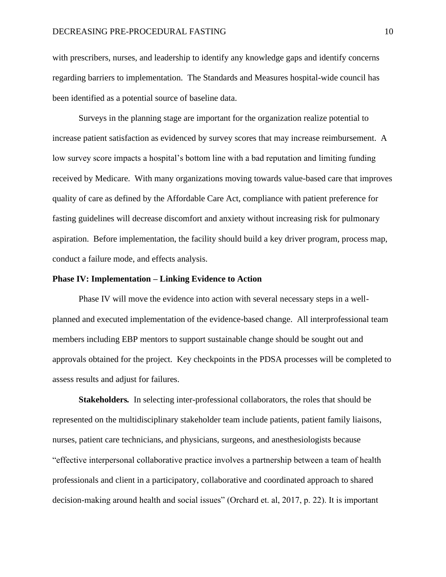with prescribers, nurses, and leadership to identify any knowledge gaps and identify concerns regarding barriers to implementation. The Standards and Measures hospital-wide council has been identified as a potential source of baseline data.

Surveys in the planning stage are important for the organization realize potential to increase patient satisfaction as evidenced by survey scores that may increase reimbursement. A low survey score impacts a hospital's bottom line with a bad reputation and limiting funding received by Medicare. With many organizations moving towards value-based care that improves quality of care as defined by the Affordable Care Act, compliance with patient preference for fasting guidelines will decrease discomfort and anxiety without increasing risk for pulmonary aspiration. Before implementation, the facility should build a key driver program, process map, conduct a failure mode, and effects analysis.

### **Phase IV: Implementation – Linking Evidence to Action**

Phase IV will move the evidence into action with several necessary steps in a wellplanned and executed implementation of the evidence-based change. All interprofessional team members including EBP mentors to support sustainable change should be sought out and approvals obtained for the project. Key checkpoints in the PDSA processes will be completed to assess results and adjust for failures.

**Stakeholders***.*In selecting inter-professional collaborators, the roles that should be represented on the multidisciplinary stakeholder team include patients, patient family liaisons, nurses, patient care technicians, and physicians, surgeons, and anesthesiologists because "effective interpersonal collaborative practice involves a partnership between a team of health professionals and client in a participatory, collaborative and coordinated approach to shared decision-making around health and social issues" (Orchard et. al, 2017, p. 22). It is important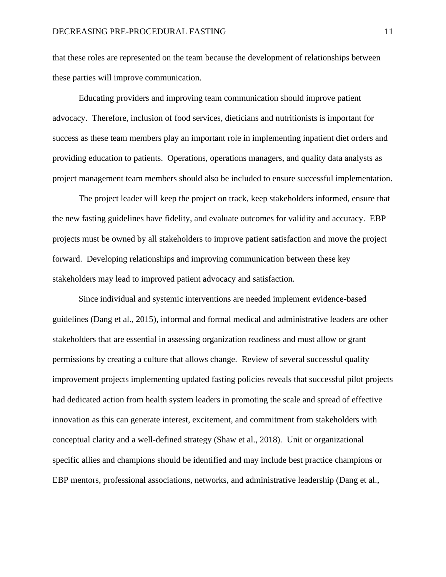that these roles are represented on the team because the development of relationships between these parties will improve communication.

Educating providers and improving team communication should improve patient advocacy. Therefore, inclusion of food services, dieticians and nutritionists is important for success as these team members play an important role in implementing inpatient diet orders and providing education to patients. Operations, operations managers, and quality data analysts as project management team members should also be included to ensure successful implementation.

The project leader will keep the project on track, keep stakeholders informed, ensure that the new fasting guidelines have fidelity, and evaluate outcomes for validity and accuracy. EBP projects must be owned by all stakeholders to improve patient satisfaction and move the project forward. Developing relationships and improving communication between these key stakeholders may lead to improved patient advocacy and satisfaction.

Since individual and systemic interventions are needed implement evidence-based guidelines (Dang et al., 2015), informal and formal medical and administrative leaders are other stakeholders that are essential in assessing organization readiness and must allow or grant permissions by creating a culture that allows change. Review of several successful quality improvement projects implementing updated fasting policies reveals that successful pilot projects had dedicated action from health system leaders in promoting the scale and spread of effective innovation as this can generate interest, excitement, and commitment from stakeholders with conceptual clarity and a well-defined strategy (Shaw et al., 2018). Unit or organizational specific allies and champions should be identified and may include best practice champions or EBP mentors, professional associations, networks, and administrative leadership (Dang et al.,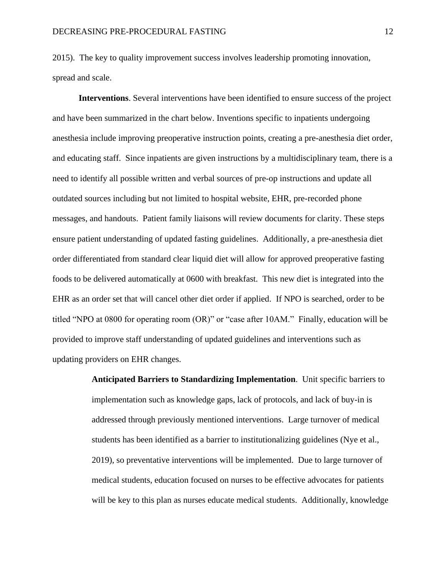2015). The key to quality improvement success involves leadership promoting innovation, spread and scale.

**Interventions**. Several interventions have been identified to ensure success of the project and have been summarized in the chart below. Inventions specific to inpatients undergoing anesthesia include improving preoperative instruction points, creating a pre-anesthesia diet order, and educating staff. Since inpatients are given instructions by a multidisciplinary team, there is a need to identify all possible written and verbal sources of pre-op instructions and update all outdated sources including but not limited to hospital website, EHR, pre-recorded phone messages, and handouts. Patient family liaisons will review documents for clarity. These steps ensure patient understanding of updated fasting guidelines. Additionally, a pre-anesthesia diet order differentiated from standard clear liquid diet will allow for approved preoperative fasting foods to be delivered automatically at 0600 with breakfast. This new diet is integrated into the EHR as an order set that will cancel other diet order if applied. If NPO is searched, order to be titled "NPO at 0800 for operating room (OR)" or "case after 10AM." Finally, education will be provided to improve staff understanding of updated guidelines and interventions such as updating providers on EHR changes.

> **Anticipated Barriers to Standardizing Implementation**. Unit specific barriers to implementation such as knowledge gaps, lack of protocols, and lack of buy-in is addressed through previously mentioned interventions. Large turnover of medical students has been identified as a barrier to institutionalizing guidelines (Nye et al., 2019), so preventative interventions will be implemented. Due to large turnover of medical students, education focused on nurses to be effective advocates for patients will be key to this plan as nurses educate medical students. Additionally, knowledge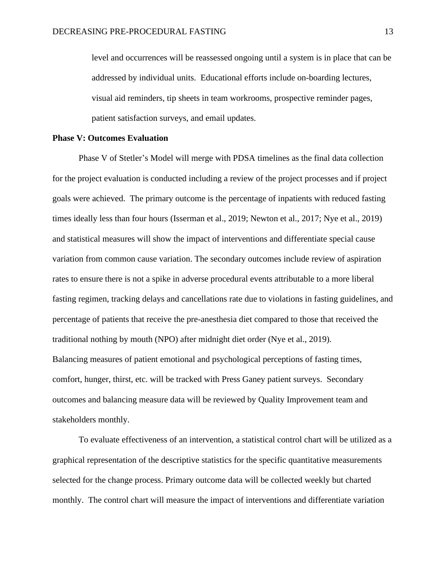level and occurrences will be reassessed ongoing until a system is in place that can be addressed by individual units. Educational efforts include on-boarding lectures, visual aid reminders, tip sheets in team workrooms, prospective reminder pages, patient satisfaction surveys, and email updates.

### **Phase V: Outcomes Evaluation**

Phase V of Stetler's Model will merge with PDSA timelines as the final data collection for the project evaluation is conducted including a review of the project processes and if project goals were achieved. The primary outcome is the percentage of inpatients with reduced fasting times ideally less than four hours (Isserman et al., 2019; Newton et al., 2017; Nye et al., 2019) and statistical measures will show the impact of interventions and differentiate special cause variation from common cause variation. The secondary outcomes include review of aspiration rates to ensure there is not a spike in adverse procedural events attributable to a more liberal fasting regimen, tracking delays and cancellations rate due to violations in fasting guidelines, and percentage of patients that receive the pre-anesthesia diet compared to those that received the traditional nothing by mouth (NPO) after midnight diet order (Nye et al., 2019). Balancing measures of patient emotional and psychological perceptions of fasting times, comfort, hunger, thirst, etc. will be tracked with Press Ganey patient surveys. Secondary outcomes and balancing measure data will be reviewed by Quality Improvement team and stakeholders monthly.

To evaluate effectiveness of an intervention, a statistical control chart will be utilized as a graphical representation of the descriptive statistics for the specific quantitative measurements selected for the change process. Primary outcome data will be collected weekly but charted monthly. The control chart will measure the impact of interventions and differentiate variation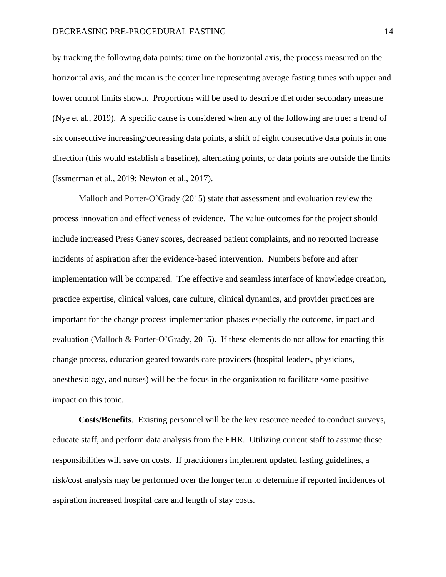by tracking the following data points: time on the horizontal axis, the process measured on the horizontal axis, and the mean is the center line representing average fasting times with upper and lower control limits shown. Proportions will be used to describe diet order secondary measure (Nye et al., 2019). A specific cause is considered when any of the following are true: a trend of six consecutive increasing/decreasing data points, a shift of eight consecutive data points in one direction (this would establish a baseline), alternating points, or data points are outside the limits (Issmerman et al., 2019; Newton et al., 2017).

Malloch and Porter-O'Grady (2015) state that assessment and evaluation review the process innovation and effectiveness of evidence. The value outcomes for the project should include increased Press Ganey scores, decreased patient complaints, and no reported increase incidents of aspiration after the evidence-based intervention. Numbers before and after implementation will be compared. The effective and seamless interface of knowledge creation, practice expertise, clinical values, care culture, clinical dynamics, and provider practices are important for the change process implementation phases especially the outcome, impact and evaluation (Malloch & Porter-O'Grady, 2015). If these elements do not allow for enacting this change process, education geared towards care providers (hospital leaders, physicians, anesthesiology, and nurses) will be the focus in the organization to facilitate some positive impact on this topic.

**Costs/Benefits**. Existing personnel will be the key resource needed to conduct surveys, educate staff, and perform data analysis from the EHR. Utilizing current staff to assume these responsibilities will save on costs. If practitioners implement updated fasting guidelines, a risk/cost analysis may be performed over the longer term to determine if reported incidences of aspiration increased hospital care and length of stay costs.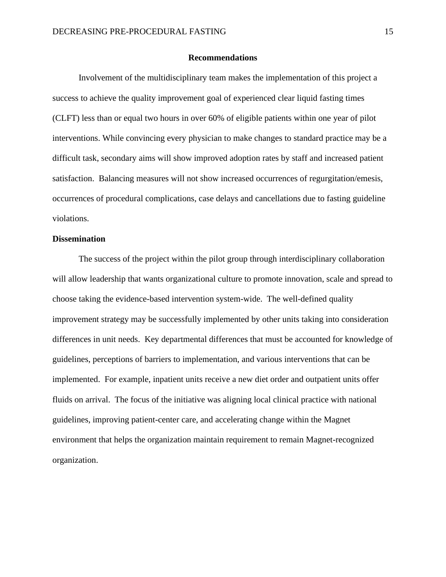### **Recommendations**

Involvement of the multidisciplinary team makes the implementation of this project a success to achieve the quality improvement goal of experienced clear liquid fasting times (CLFT) less than or equal two hours in over 60% of eligible patients within one year of pilot interventions. While convincing every physician to make changes to standard practice may be a difficult task, secondary aims will show improved adoption rates by staff and increased patient satisfaction. Balancing measures will not show increased occurrences of regurgitation/emesis, occurrences of procedural complications, case delays and cancellations due to fasting guideline violations.

### **Dissemination**

The success of the project within the pilot group through interdisciplinary collaboration will allow leadership that wants organizational culture to promote innovation, scale and spread to choose taking the evidence-based intervention system-wide. The well-defined quality improvement strategy may be successfully implemented by other units taking into consideration differences in unit needs. Key departmental differences that must be accounted for knowledge of guidelines, perceptions of barriers to implementation, and various interventions that can be implemented. For example, inpatient units receive a new diet order and outpatient units offer fluids on arrival. The focus of the initiative was aligning local clinical practice with national guidelines, improving patient-center care, and accelerating change within the Magnet environment that helps the organization maintain requirement to remain Magnet-recognized organization.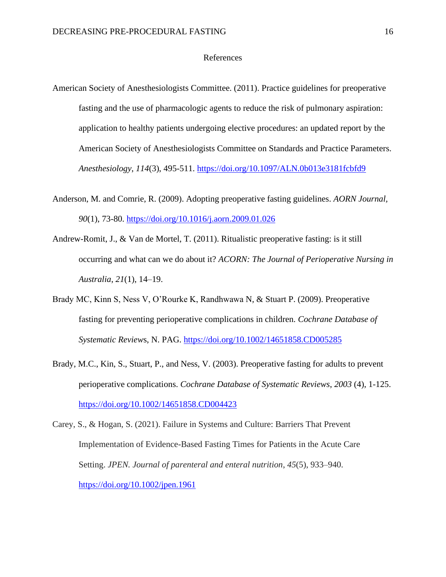### References

- American Society of Anesthesiologists Committee. (2011). Practice guidelines for preoperative fasting and the use of pharmacologic agents to reduce the risk of pulmonary aspiration: application to healthy patients undergoing elective procedures: an updated report by the American Society of Anesthesiologists Committee on Standards and Practice Parameters. *Anesthesiology*, *114*(3), 495-511. https://doi.org/10.1097/ALN.0b013e3181fcbfd9
- Anderson, M. and Comrie, R. (2009). Adopting preoperative fasting guidelines. *AORN Journal, 90*(1), 73-80.<https://doi.org/10.1016/j.aorn.2009.01.026>
- Andrew-Romit, J., & Van de Mortel, T. (2011). Ritualistic preoperative fasting: is it still occurring and what can we do about it? *ACORN: The Journal of Perioperative Nursing in Australia*, *21*(1), 14–19.
- Brady MC, Kinn S, Ness V, O'Rourke K, Randhwawa N, & Stuart P. (2009). Preoperative fasting for preventing perioperative complications in children. *Cochrane Database of Systematic Review*s, N. PAG. https://doi.org/10.1002/14651858.CD005285
- Brady, M.C., Kin, S., Stuart, P., and Ness, V. (2003). Preoperative fasting for adults to prevent perioperative complications. *Cochrane Database of Systematic Reviews*, *2003* (4), 1-125. https://doi.org/10.1002/14651858.CD004423

Carey, S., & Hogan, S. (2021). Failure in Systems and Culture: Barriers That Prevent Implementation of Evidence-Based Fasting Times for Patients in the Acute Care Setting. *JPEN. Journal of parenteral and enteral nutrition*, *45*(5), 933–940. <https://doi.org/10.1002/jpen.1961>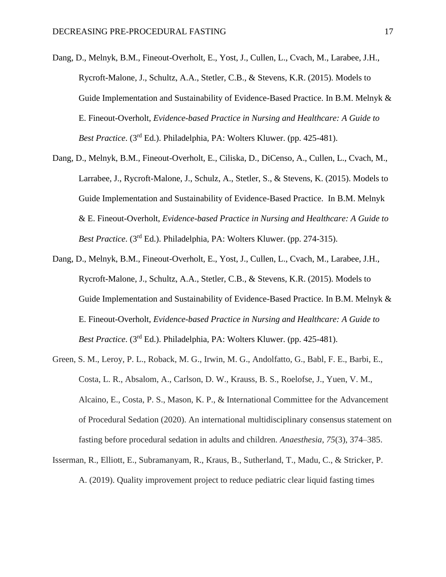Dang, D., Melnyk, B.M., Fineout-Overholt, E., Yost, J., Cullen, L., Cvach, M., Larabee, J.H., Rycroft-Malone, J., Schultz, A.A., Stetler, C.B., & Stevens, K.R. (2015). Models to Guide Implementation and Sustainability of Evidence-Based Practice. In B.M. Melnyk & E. Fineout-Overholt, *Evidence-based Practice in Nursing and Healthcare: A Guide to Best Practice.* (3<sup>rd</sup> Ed.). Philadelphia, PA: Wolters Kluwer. (pp. 425-481).

- Dang, D., Melnyk, B.M., Fineout-Overholt, E., Ciliska, D., DiCenso, A., Cullen, L., Cvach, M., Larrabee, J., Rycroft-Malone, J., Schulz, A., Stetler, S., & Stevens, K. (2015). Models to Guide Implementation and Sustainability of Evidence-Based Practice. In B.M. Melnyk & E. Fineout-Overholt, *Evidence-based Practice in Nursing and Healthcare: A Guide to Best Practice*. (3rd Ed.). Philadelphia, PA: Wolters Kluwer. (pp. 274-315).
- Dang, D., Melnyk, B.M., Fineout-Overholt, E., Yost, J., Cullen, L., Cvach, M., Larabee, J.H., Rycroft-Malone, J., Schultz, A.A., Stetler, C.B., & Stevens, K.R. (2015). Models to Guide Implementation and Sustainability of Evidence-Based Practice. In B.M. Melnyk & E. Fineout-Overholt, *Evidence-based Practice in Nursing and Healthcare: A Guide to Best Practice.* (3<sup>rd</sup> Ed.). Philadelphia, PA: Wolters Kluwer. (pp. 425-481).
- Green, S. M., Leroy, P. L., Roback, M. G., Irwin, M. G., Andolfatto, G., Babl, F. E., Barbi, E., Costa, L. R., Absalom, A., Carlson, D. W., Krauss, B. S., Roelofse, J., Yuen, V. M., Alcaino, E., Costa, P. S., Mason, K. P., & International Committee for the Advancement of Procedural Sedation (2020). An international multidisciplinary consensus statement on fasting before procedural sedation in adults and children. *Anaesthesia*, *75*(3), 374–385.
- Isserman, R., Elliott, E., Subramanyam, R., Kraus, B., Sutherland, T., Madu, C., & Stricker, P. A. (2019). Quality improvement project to reduce pediatric clear liquid fasting times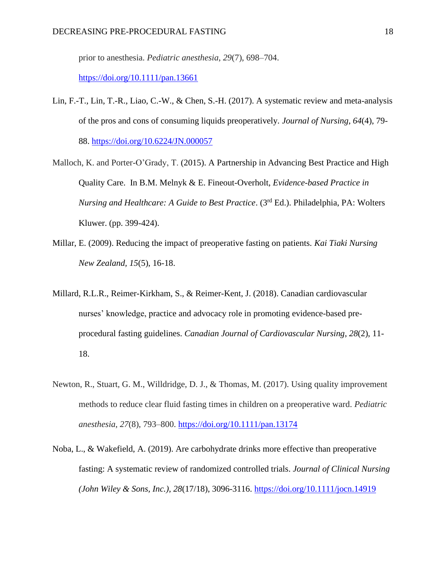prior to anesthesia. *Pediatric anesthesia*, *29*(7), 698–704.

<https://doi.org/10.1111/pan.13661>

- Lin, F.-T., Lin, T.-R., Liao, C.-W., & Chen, S.-H. (2017). A systematic review and meta-analysis of the pros and cons of consuming liquids preoperatively*. Journal of Nursing*, *64*(4), 79- 88. https://doi.org/10.6224/JN.000057
- Malloch, K. and Porter-O'Grady, T. (2015). A Partnership in Advancing Best Practice and High Quality Care. In B.M. Melnyk & E. Fineout-Overholt, *Evidence-based Practice in Nursing and Healthcare: A Guide to Best Practice*. (3rd Ed.). Philadelphia, PA: Wolters Kluwer. (pp. 399-424).
- Millar, E. (2009). Reducing the impact of preoperative fasting on patients. *Kai Tiaki Nursing New Zealand, 15*(5), 16-18.
- Millard, R.L.R., Reimer-Kirkham, S., & Reimer-Kent, J. (2018). Canadian cardiovascular nurses' knowledge, practice and advocacy role in promoting evidence-based preprocedural fasting guidelines. *Canadian Journal of Cardiovascular Nursing*, *28*(2), 11- 18.
- Newton, R., Stuart, G. M., Willdridge, D. J., & Thomas, M. (2017). Using quality improvement methods to reduce clear fluid fasting times in children on a preoperative ward. *Pediatric anesthesia*, *27*(8), 793–800.<https://doi.org/10.1111/pan.13174>
- Noba, L., & Wakefield, A. (2019). Are carbohydrate drinks more effective than preoperative fasting: A systematic review of randomized controlled trials. *Journal of Clinical Nursing (John Wiley & Sons, Inc.)*, *28*(17/18), 3096-3116. https://doi.org/10.1111/jocn.14919